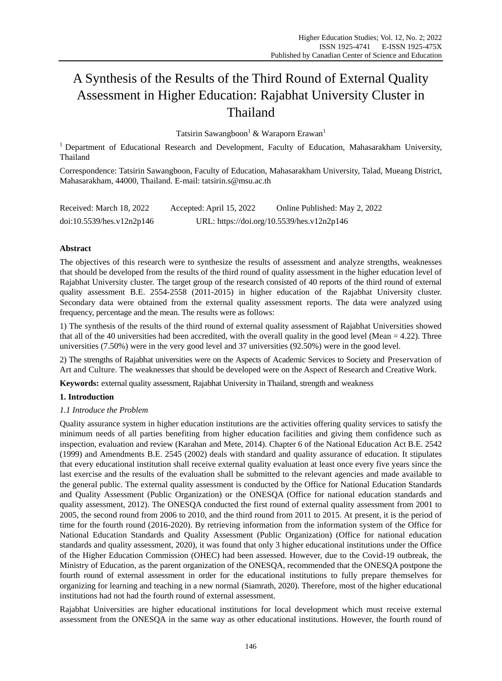# A Synthesis of the Results of the Third Round of External Quality Assessment in Higher Education: Rajabhat University Cluster in Thailand

Tatsirin Sawangboon<sup>1</sup> & Waraporn Erawan<sup>1</sup>

<sup>1</sup> Department of Educational Research and Development, Faculty of Education, Mahasarakham University, Thailand

Correspondence: Tatsirin Sawangboon, Faculty of Education, Mahasarakham University, Talad, Mueang District, Mahasarakham, 44000, Thailand. E-mail: tatsirin.s@msu.ac.th

| Received: March 18, 2022  | Accepted: April 15, 2022 | Online Published: May 2, 2022              |
|---------------------------|--------------------------|--------------------------------------------|
| doi:10.5539/hes.v12n2p146 |                          | URL: https://doi.org/10.5539/hes.v12n2p146 |

# **Abstract**

The objectives of this research were to synthesize the results of assessment and analyze strengths, weaknesses that should be developed from the results of the third round of quality assessment in the higher education level of Rajabhat University cluster. The target group of the research consisted of 40 reports of the third round of external quality assessment B.E. 2554-2558 (2011-2015) in higher education of the Rajabhat University cluster. Secondary data were obtained from the external quality assessment reports. The data were analyzed using frequency, percentage and the mean. The results were as follows:

1) The synthesis of the results of the third round of external quality assessment of Rajabhat Universities showed that all of the 40 universities had been accredited, with the overall quality in the good level (Mean  $= 4.22$ ). Three universities (7.50%) were in the very good level and 37 universities (92.50%) were in the good level.

2) The strengths of Rajabhat universities were on the Aspects of Academic Services to Society and Preservation of Art and Culture. The weaknesses that should be developed were on the Aspect of Research and Creative Work.

**Keywords:** external quality assessment, Rajabhat University in Thailand, strength and weakness

# **1. Introduction**

# *1.1 Introduce the Problem*

Quality assurance system in higher education institutions are the activities offering quality services to satisfy the minimum needs of all parties benefiting from higher education facilities and giving them confidence such as inspection, evaluation and review (Karahan and Mete, 2014). Chapter 6 of the National Education Act B.E. 2542 (1999) and Amendments B.E. 2545 (2002) deals with standard and quality assurance of education. It stipulates that every educational institution shall receive external quality evaluation at least once every five years since the last exercise and the results of the evaluation shall be submitted to the relevant agencies and made available to the general public. The external quality assessment is conducted by the Office for National Education Standards and Quality Assessment (Public Organization) or the ONESQA (Office for national education standards and quality assessment, 2012). The ONESQA conducted the first round of external quality assessment from 2001 to 2005, the second round from 2006 to 2010, and the third round from 2011 to 2015. At present, it is the period of time for the fourth round (2016-2020). By retrieving information from the information system of the Office for National Education Standards and Quality Assessment (Public Organization) (Office for national education standards and quality assessment, 2020), it was found that only 3 higher educational institutions under the Office of the Higher Education Commission (OHEC) had been assessed. However, due to the Covid-19 outbreak, the Ministry of Education, as the parent organization of the ONESQA, recommended that the ONESQA postpone the fourth round of external assessment in order for the educational institutions to fully prepare themselves for organizing for learning and teaching in a new normal (Siamrath, 2020). Therefore, most of the higher educational institutions had not had the fourth round of external assessment.

Rajabhat Universities are higher educational institutions for local development which must receive external assessment from the ONESQA in the same way as other educational institutions. However, the fourth round of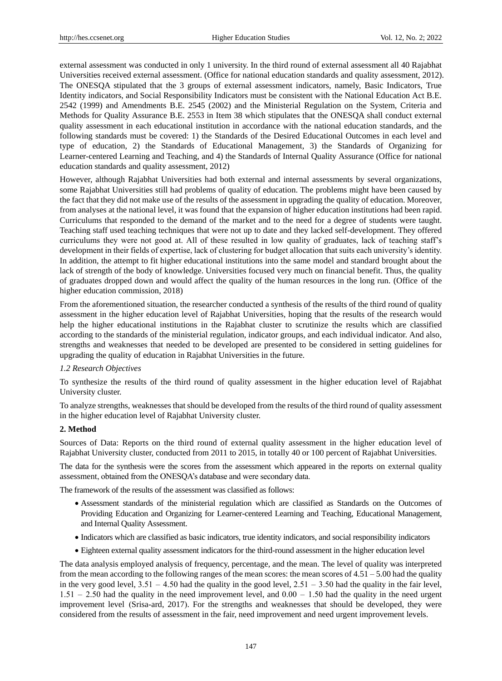external assessment was conducted in only 1 university. In the third round of external assessment all 40 Rajabhat Universities received external assessment. (Office for national education standards and quality assessment, 2012). The ONESQA stipulated that the 3 groups of external assessment indicators, namely, Basic Indicators, True Identity indicators, and Social Responsibility Indicators must be consistent with the National Education Act B.E. 2542 (1999) and Amendments B.E. 2545 (2002) and the Ministerial Regulation on the System, Criteria and Methods for Quality Assurance B.E. 2553 in Item 38 which stipulates that the ONESQA shall conduct external quality assessment in each educational institution in accordance with the national education standards, and the following standards must be covered: 1) the Standards of the Desired Educational Outcomes in each level and type of education, 2) the Standards of Educational Management, 3) the Standards of Organizing for Learner-centered Learning and Teaching, and 4) the Standards of Internal Quality Assurance (Office for national education standards and quality assessment, 2012)

However, although Rajabhat Universities had both external and internal assessments by several organizations, some Rajabhat Universities still had problems of quality of education. The problems might have been caused by the fact that they did not make use of the results of the assessment in upgrading the quality of education. Moreover, from analyses at the national level, it was found that the expansion of higher education institutions had been rapid. Curriculums that responded to the demand of the market and to the need for a degree of students were taught. Teaching staff used teaching techniques that were not up to date and they lacked self-development. They offered curriculums they were not good at. All of these resulted in low quality of graduates, lack of teaching staff's development in their fields of expertise, lack of clustering for budget allocation that suits each university's identity. In addition, the attempt to fit higher educational institutions into the same model and standard brought about the lack of strength of the body of knowledge. Universities focused very much on financial benefit. Thus, the quality of graduates dropped down and would affect the quality of the human resources in the long run. (Office of the higher education commission, 2018)

From the aforementioned situation, the researcher conducted a synthesis of the results of the third round of quality assessment in the higher education level of Rajabhat Universities, hoping that the results of the research would help the higher educational institutions in the Rajabhat cluster to scrutinize the results which are classified according to the standards of the ministerial regulation, indicator groups, and each individual indicator. And also, strengths and weaknesses that needed to be developed are presented to be considered in setting guidelines for upgrading the quality of education in Rajabhat Universities in the future.

# *1.2 Research Objectives*

To synthesize the results of the third round of quality assessment in the higher education level of Rajabhat University cluster.

To analyze strengths, weaknesses that should be developed from the results of the third round of quality assessment in the higher education level of Rajabhat University cluster.

## **2. Method**

Sources of Data: Reports on the third round of external quality assessment in the higher education level of Rajabhat University cluster, conducted from 2011 to 2015, in totally 40 or 100 percent of Rajabhat Universities.

The data for the synthesis were the scores from the assessment which appeared in the reports on external quality assessment, obtained from the ONESQA's database and were secondary data.

The framework of the results of the assessment was classified as follows:

- Assessment standards of the ministerial regulation which are classified as Standards on the Outcomes of Providing Education and Organizing for Learner-centered Learning and Teaching, Educational Management, and Internal Quality Assessment.
- Indicators which are classified as basic indicators, true identity indicators, and social responsibility indicators
- Eighteen external quality assessment indicators for the third-round assessment in the higher education level

The data analysis employed analysis of frequency, percentage, and the mean. The level of quality was interpreted from the mean according to the following ranges of the mean scores: the mean scores of 4.51 – 5.00 had the quality in the very good level,  $3.51 - 4.50$  had the quality in the good level,  $2.51 - 3.50$  had the quality in the fair level,  $1.51 - 2.50$  had the quality in the need improvement level, and  $0.00 - 1.50$  had the quality in the need urgent improvement level (Srisa-ard, 2017). For the strengths and weaknesses that should be developed, they were considered from the results of assessment in the fair, need improvement and need urgent improvement levels.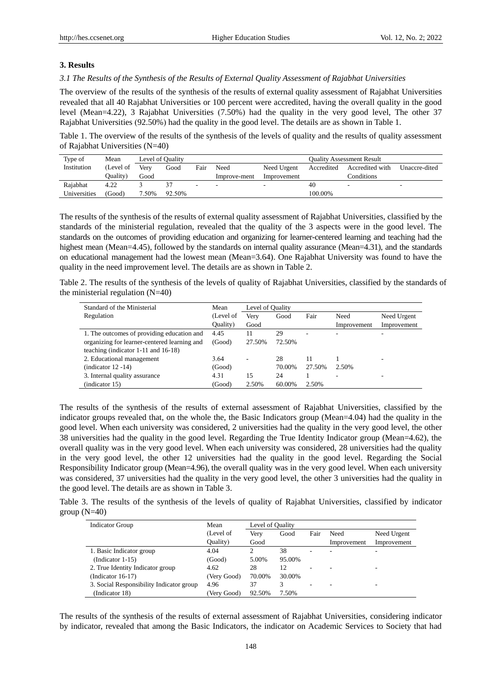# **3. Results**

## *3.1 The Results of the Synthesis of the Results of External Quality Assessment of Rajabhat Universities*

The overview of the results of the synthesis of the results of external quality assessment of Rajabhat Universities revealed that all 40 Rajabhat Universities or 100 percent were accredited, having the overall quality in the good level (Mean=4.22), 3 Rajabhat Universities (7.50%) had the quality in the very good level, The other 37 Rajabhat Universities (92.50%) had the quality in the good level. The details are as shown in Table 1.

Table 1. The overview of the results of the synthesis of the levels of quality and the results of quality assessment of Rajabhat Universities (N=40)

| Type of      | Mean      |       | Level of Quality |      |              | <b>Ouality Assessment Result</b> |            |                 |                          |
|--------------|-----------|-------|------------------|------|--------------|----------------------------------|------------|-----------------|--------------------------|
| Institution  | (Level of | Very  | Good             | Fair | Need         | Need Urgent                      | Accredited | Accredited with | Unaccre-dited            |
|              | (Quality  | Good  |                  |      | Improve-ment | Improvement                      |            | Conditions      |                          |
| Rajabhat     | 4.22      |       |                  |      |              |                                  | 40         |                 | $\overline{\phantom{a}}$ |
| Universities | (Good)    | 7.50% | 92.50%           |      |              |                                  | 100.00%    |                 |                          |

The results of the synthesis of the results of external quality assessment of Rajabhat Universities, classified by the standards of the ministerial regulation, revealed that the quality of the 3 aspects were in the good level. The standards on the outcomes of providing education and organizing for learner-centered learning and teaching had the highest mean (Mean=4.45), followed by the standards on internal quality assurance (Mean=4.31), and the standards on educational management had the lowest mean (Mean=3.64). One Rajabhat University was found to have the quality in the need improvement level. The details are as shown in Table 2.

Table 2. The results of the synthesis of the levels of quality of Rajabhat Universities, classified by the standards of the ministerial regulation (N=40)

| Standard of the Ministerial                  | Mean      | Level of Quality |        |        |             |             |
|----------------------------------------------|-----------|------------------|--------|--------|-------------|-------------|
| Regulation                                   | (Level of | Verv             | Good   | Fair   | Need        | Need Urgent |
|                                              | Quality)  | Good             |        |        | Improvement | Improvement |
| 1. The outcomes of providing education and   | 4.45      | 11               | 29     | ٠      |             |             |
| organizing for learner-centered learning and | (Good)    | 27.50%           | 72.50% |        |             |             |
| teaching (indicator $1-11$ and $16-18$ )     |           |                  |        |        |             |             |
| 2. Educational management                    | 3.64      | ۰                | 28     | 11     |             |             |
| $(indication 12 -14)$                        | (Good)    |                  | 70.00% | 27.50% | 2.50%       |             |
| 3. Internal quality assurance                | 4.31      | 15               | 24     |        |             |             |
| (indicator 15)                               | (Good)    | 2.50%            | 60.00% | 2.50%  |             |             |

The results of the synthesis of the results of external assessment of Rajabhat Universities, classified by the indicator groups revealed that, on the whole the, the Basic Indicators group (Mean=4.04) had the quality in the good level. When each university was considered, 2 universities had the quality in the very good level, the other 38 universities had the quality in the good level. Regarding the True Identity Indicator group (Mean=4.62), the overall quality was in the very good level. When each university was considered, 28 universities had the quality in the very good level, the other 12 universities had the quality in the good level. Regarding the Social Responsibility Indicator group (Mean=4.96), the overall quality was in the very good level. When each university was considered, 37 universities had the quality in the very good level, the other 3 universities had the quality in the good level. The details are as shown in Table 3.

Table 3. The results of the synthesis of the levels of quality of Rajabhat Universities, classified by indicator group  $(N=40)$ 

| <b>Indicator Group</b>                   | Mean        | Level of Quality |        |                          |             |             |
|------------------------------------------|-------------|------------------|--------|--------------------------|-------------|-------------|
|                                          | (Level of   | Very             | Good   | Fair                     | Need        | Need Urgent |
|                                          | Quality)    | Good             |        |                          | Improvement | Improvement |
| 1. Basic Indicator group                 | 4.04        |                  | 38     | ۰                        |             |             |
| (Indicator 1-15)                         | (Good)      | 5.00%            | 95.00% |                          |             |             |
| 2. True Identity Indicator group         | 4.62        | 28               | 12     | $\overline{\phantom{0}}$ |             |             |
| (Indicator 16-17)                        | (Very Good) | 70.00%           | 30.00% |                          |             |             |
| 3. Social Responsibility Indicator group | 4.96        | 37               |        | ٠                        |             |             |
| (Indicator 18)                           | Very Good)  | 92.50%           | 7.50%  |                          |             |             |

The results of the synthesis of the results of external assessment of Rajabhat Universities, considering indicator by indicator, revealed that among the Basic Indicators, the indicator on Academic Services to Society that had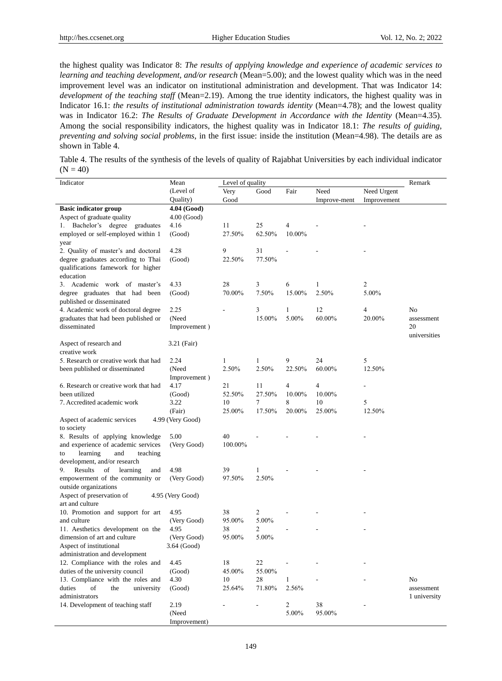the highest quality was Indicator 8: *The results of applying knowledge and experience of academic services to learning and teaching development, and/or research* (Mean=5.00); and the lowest quality which was in the need improvement level was an indicator on institutional administration and development. That was Indicator 14: *development of the teaching staff* (Mean=2.19). Among the true identity indicators, the highest quality was in Indicator 16.1: *the results of institutional administration towards identity* (Mean=4.78); and the lowest quality was in Indicator 16.2: *The Results of Graduate Development in Accordance with the Identity* (Mean=4.35). Among the social responsibility indicators, the highest quality was in Indicator 18.1: *The results of guiding, preventing and solving social problems*, in the first issue: inside the institution (Mean=4.98). The details are as shown in Table 4.

Table 4. The results of the synthesis of the levels of quality of Rajabhat Universities by each individual indicator  $(N = 40)$ 

| Indicator                                           | Level of quality<br>Mean |         |                          |                         |              |             | Remark       |
|-----------------------------------------------------|--------------------------|---------|--------------------------|-------------------------|--------------|-------------|--------------|
|                                                     | (Level of                | Very    | Good                     | Fair                    | Need         | Need Urgent |              |
|                                                     | Quality)                 | Good    |                          |                         | Improve-ment | Improvement |              |
| <b>Basic indicator group</b>                        | 4.04 (Good)              |         |                          |                         |              |             |              |
| Aspect of graduate quality                          | $4.00$ (Good)            |         |                          |                         |              |             |              |
| 1. Bachelor's degree<br>graduates                   | 4.16                     | 11      | 25                       | 4                       |              |             |              |
| employed or self-employed within 1                  | (Good)                   | 27.50%  | 62.50%                   | 10.00%                  |              |             |              |
| year                                                |                          |         |                          |                         |              |             |              |
| 2. Quality of master's and doctoral                 | 4.28                     | 9       | 31                       |                         |              |             |              |
| degree graduates according to Thai                  | (Good)                   | 22.50%  | 77.50%                   |                         |              |             |              |
| qualifications famework for higher                  |                          |         |                          |                         |              |             |              |
| education                                           |                          |         |                          |                         |              |             |              |
| 3. Academic work of master's                        | 4.33                     | 28      | 3                        | 6                       | 1            | 2           |              |
| degree graduates that had been                      | (Good)                   | 70.00%  | 7.50%                    | 15.00%                  | 2.50%        | 5.00%       |              |
| published or disseminated                           |                          |         |                          |                         |              |             |              |
| 4. Academic work of doctoral degree                 | 2.25                     |         | 3                        | 1                       | 12           | 4           | No           |
| graduates that had been published or                | (Need                    |         | 15.00%                   | 5.00%                   | 60.00%       | 20.00%      | assessment   |
| disseminated                                        | Improvement)             |         |                          |                         |              |             | 20           |
|                                                     |                          |         |                          |                         |              |             | universities |
| Aspect of research and                              | 3.21 (Fair)              |         |                          |                         |              |             |              |
| creative work                                       |                          |         |                          |                         |              |             |              |
| 5. Research or creative work that had               | 2.24                     | 1       | 1                        | 9                       | 24           | 5           |              |
| been published or disseminated                      | (Need                    | 2.50%   | 2.50%                    | 22.50%                  | 60.00%       | 12.50%      |              |
|                                                     | Improvement)             |         |                          |                         |              |             |              |
| 6. Research or creative work that had               | 4.17                     | 21      | 11                       | 4                       | 4            |             |              |
| been utilized                                       | (Good)                   | 52.50%  | 27.50%                   | 10.00%                  | 10.00%       |             |              |
| 7. Accredited academic work                         | 3.22                     | 10      | 7                        | 8                       | 10           | 5           |              |
|                                                     | (Fair)                   | 25.00%  | 17.50%                   | 20.00%                  | 25.00%       | 12.50%      |              |
| Aspect of academic services                         | 4.99 (Very Good)         |         |                          |                         |              |             |              |
| to society                                          |                          |         |                          |                         |              |             |              |
| 8. Results of applying knowledge                    | 5.00                     | 40      |                          |                         |              |             |              |
| and experience of academic services                 | (Very Good)              | 100.00% |                          |                         |              |             |              |
| learning<br>and<br>teaching<br>to                   |                          |         |                          |                         |              |             |              |
| development, and/or research                        |                          |         |                          |                         |              |             |              |
| 9.<br>Results<br>of<br>learning<br>and              | 4.98                     | 39      | 1                        |                         |              |             |              |
| empowerment of the community or                     | (Very Good)              | 97.50%  | 2.50%                    |                         |              |             |              |
| outside organizations                               |                          |         |                          |                         |              |             |              |
| Aspect of preservation of                           | 4.95 (Very Good)         |         |                          |                         |              |             |              |
| art and culture                                     |                          |         |                          |                         |              |             |              |
| 10. Promotion and support for art                   | 4.95                     | 38      | 2                        |                         |              |             |              |
| and culture                                         | (Very Good)              | 95.00%  | 5.00%                    |                         |              |             |              |
| 11. Aesthetics development on the                   | 4.95                     | 38      | 2                        |                         |              |             |              |
| dimension of art and culture                        | (Very Good)              | 95.00%  | 5.00%                    |                         |              |             |              |
| Aspect of institutional                             | 3.64 (Good)              |         |                          |                         |              |             |              |
| administration and development                      |                          |         |                          |                         |              |             |              |
| 12. Compliance with the roles and                   | 4.45                     | $1\,8$  | $22\,$                   |                         |              |             |              |
| duties of the university council                    | (Good)                   | 45.00%  | 55.00%                   |                         |              |             |              |
| 13. Compliance with the roles and                   | 4.30                     | 10      | 28                       | $\mathbf{1}$            |              |             | No           |
| of<br>duties<br>the<br>university                   | (Good)                   | 25.64%  | 71.80%                   | 2.56%                   |              |             | assessment   |
| administrators<br>14. Development of teaching staff |                          |         |                          |                         |              |             | 1 university |
|                                                     | 2.19<br>(Need            |         | $\overline{\phantom{a}}$ | $\overline{c}$<br>5.00% | 38<br>95.00% |             |              |
|                                                     |                          |         |                          |                         |              |             |              |
|                                                     | Improvement)             |         |                          |                         |              |             |              |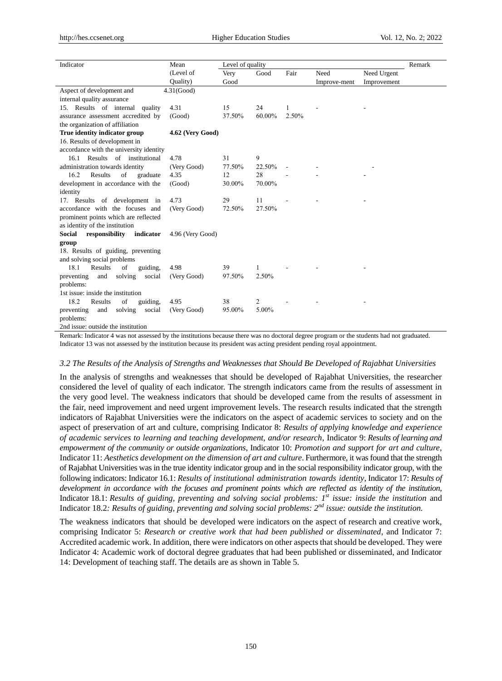| Mean             |               |                    |                           |              |             | Remark |
|------------------|---------------|--------------------|---------------------------|--------------|-------------|--------|
| (Level of        | Very          | Good               | Fair                      | Need         | Need Urgent |        |
| Quality)         | Good          |                    |                           | Improve-ment | Improvement |        |
|                  |               |                    |                           |              |             |        |
|                  |               |                    |                           |              |             |        |
| 4.31             | 15            | 24                 |                           |              |             |        |
| (Good)           | 37.50%        | 60.00%             | 2.50%                     |              |             |        |
|                  |               |                    |                           |              |             |        |
| 4.62 (Very Good) |               |                    |                           |              |             |        |
|                  |               |                    |                           |              |             |        |
|                  |               |                    |                           |              |             |        |
| 4.78             | 31            | 9                  |                           |              |             |        |
| (Very Good)      | 77.50%        | 22.50%             |                           |              |             |        |
| 4.35             | 12            | 28                 |                           |              |             |        |
| (Good)           | 30.00%        | 70.00%             |                           |              |             |        |
|                  |               |                    |                           |              |             |        |
| 4.73             | 29            | 11                 |                           |              |             |        |
| (Very Good)      | 72.50%        | 27.50%             |                           |              |             |        |
|                  |               |                    |                           |              |             |        |
|                  |               |                    |                           |              |             |        |
| 4.96 (Very Good) |               |                    |                           |              |             |        |
|                  |               |                    |                           |              |             |        |
|                  |               |                    |                           |              |             |        |
|                  |               |                    |                           |              |             |        |
| 4.98             |               | 1                  |                           |              |             |        |
| (Very Good)      | 97.50%        | 2.50%              |                           |              |             |        |
|                  |               |                    |                           |              |             |        |
|                  |               |                    |                           |              |             |        |
| 4.95             |               | 2                  |                           |              |             |        |
| (Very Good)      |               |                    |                           |              |             |        |
|                  |               |                    |                           |              |             |        |
|                  | $4.31$ (Good) | 39<br>38<br>95.00% | Level of quality<br>5.00% |              |             |        |

2nd issue: outside the institution

Remark: Indicator 4 was not assessed by the institutions because there was no doctoral degree program or the students had not graduated. Indicator 13 was not assessed by the institution because its president was acting president pending royal appointment.

#### *3.2 The Results of the Analysis of Strengths and Weaknesses that Should Be Developed of Rajabhat Universities*

In the analysis of strengths and weaknesses that should be developed of Rajabhat Universities, the researcher considered the level of quality of each indicator. The strength indicators came from the results of assessment in the very good level. The weakness indicators that should be developed came from the results of assessment in the fair, need improvement and need urgent improvement levels. The research results indicated that the strength indicators of Rajabhat Universities were the indicators on the aspect of academic services to society and on the aspect of preservation of art and culture, comprising Indicator 8: *Results of applying knowledge and experience of academic services to learning and teaching development, and/or research*, Indicator 9: *Results of learning and empowerment of the community or outside organizations*, Indicator 10: *Promotion and support for art and culture*, Indicator 11: *Aesthetics development on the dimension of art and culture*. Furthermore, it was found that the strength of Rajabhat Universities was in the true identity indicator group and in the social responsibility indicator group, with the following indicators: Indicator 16.1: *Results of institutional administration towards identity*, Indicator 17: *Results of development in accordance with the focuses and prominent points which are reflected as identity of the institution*, Indicator 18.1: *Results of guiding, preventing and solving social problems: 1st issue: inside the institution* and Indicator 18.2*: Results of guiding, preventing and solving social problems: 2nd issue: outside the institution.*

The weakness indicators that should be developed were indicators on the aspect of research and creative work, comprising Indicator 5: *Research or creative work that had been published or disseminated*, and Indicator 7: Accredited academic work. In addition, there were indicators on other aspects that should be developed. They were Indicator 4: Academic work of doctoral degree graduates that had been published or disseminated, and Indicator 14: Development of teaching staff. The details are as shown in Table 5.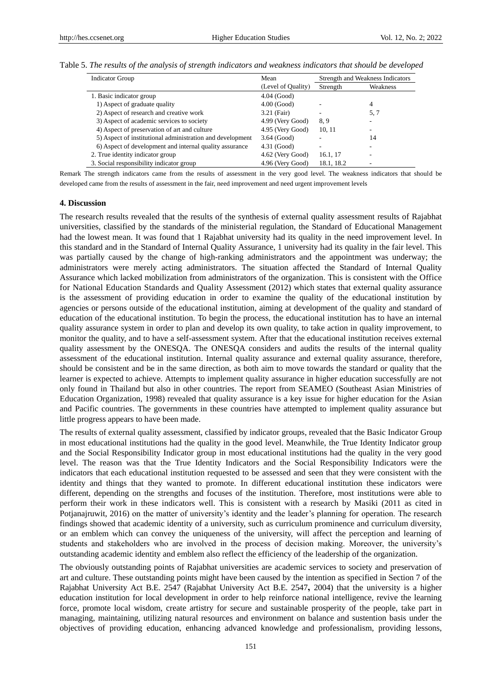| Table 5. The results of the analysis of strength indicators and weakness indicators that should be developed |  |  |  |  |  |  |  |
|--------------------------------------------------------------------------------------------------------------|--|--|--|--|--|--|--|
|--------------------------------------------------------------------------------------------------------------|--|--|--|--|--|--|--|

| <b>Indicator Group</b>                                    | Mean               |            | Strength and Weakness Indicators |  |  |
|-----------------------------------------------------------|--------------------|------------|----------------------------------|--|--|
|                                                           | (Level of Quality) | Strength   | Weakness                         |  |  |
| 1. Basic indicator group                                  | $4.04$ (Good)      |            |                                  |  |  |
| 1) Aspect of graduate quality                             | $4.00$ (Good)      |            | 4                                |  |  |
| 2) Aspect of research and creative work                   | 3.21 (Fair)        |            | 5.7                              |  |  |
| 3) Aspect of academic services to society                 | 4.99 (Very Good)   | 8.9        |                                  |  |  |
| 4) Aspect of preservation of art and culture              | 4.95 (Very Good)   | 10, 11     |                                  |  |  |
| 5) Aspect of institutional administration and development | $3.64$ (Good)      |            | 14                               |  |  |
| 6) Aspect of development and internal quality assurance   | $4.31$ (Good)      |            |                                  |  |  |
| 2. True identity indicator group                          | 4.62 (Very Good)   | 16.1, 17   |                                  |  |  |
| 3. Social responsibility indicator group                  | 4.96 (Very Good)   | 18.1, 18.2 |                                  |  |  |

Remark The strength indicators came from the results of assessment in the very good level. The weakness indicators that should be developed came from the results of assessment in the fair, need improvement and need urgent improvement levels

#### **4. Discussion**

The research results revealed that the results of the synthesis of external quality assessment results of Rajabhat universities, classified by the standards of the ministerial regulation, the Standard of Educational Management had the lowest mean. It was found that 1 Rajabhat university had its quality in the need improvement level. In this standard and in the Standard of Internal Quality Assurance, 1 university had its quality in the fair level. This was partially caused by the change of high-ranking administrators and the appointment was underway; the administrators were merely acting administrators. The situation affected the Standard of Internal Quality Assurance which lacked mobilization from administrators of the organization. This is consistent with the Office for National Education Standards and Quality Assessment (2012) which states that external quality assurance is the assessment of providing education in order to examine the quality of the educational institution by agencies or persons outside of the educational institution, aiming at development of the quality and standard of education of the educational institution. To begin the process, the educational institution has to have an internal quality assurance system in order to plan and develop its own quality, to take action in quality improvement, to monitor the quality, and to have a self-assessment system. After that the educational institution receives external quality assessment by the ONESQA. The ONESQA considers and audits the results of the internal quality assessment of the educational institution. Internal quality assurance and external quality assurance, therefore, should be consistent and be in the same direction, as both aim to move towards the standard or quality that the learner is expected to achieve. Attempts to implement quality assurance in higher education successfully are not only found in Thailand but also in other countries. The report from SEAMEO (Southeast Asian Ministries of Education Organization, 1998) revealed that quality assurance is a key issue for higher education for the Asian and Pacific countries. The governments in these countries have attempted to implement quality assurance but little progress appears to have been made.

The results of external quality assessment, classified by indicator groups, revealed that the Basic Indicator Group in most educational institutions had the quality in the good level. Meanwhile, the True Identity Indicator group and the Social Responsibility Indicator group in most educational institutions had the quality in the very good level. The reason was that the True Identity Indicators and the Social Responsibility Indicators were the indicators that each educational institution requested to be assessed and seen that they were consistent with the identity and things that they wanted to promote. In different educational institution these indicators were different, depending on the strengths and focuses of the institution. Therefore, most institutions were able to perform their work in these indicators well. This is consistent with a research by Masiki (2011 as cited in Potjanajruwit, 2016) on the matter of university's identity and the leader's planning for operation. The research findings showed that academic identity of a university, such as curriculum prominence and curriculum diversity, or an emblem which can convey the uniqueness of the university, will affect the perception and learning of students and stakeholders who are involved in the process of decision making. Moreover, the university's outstanding academic identity and emblem also reflect the efficiency of the leadership of the organization.

The obviously outstanding points of Rajabhat universities are academic services to society and preservation of art and culture. These outstanding points might have been caused by the intention as specified in Section 7 of the Rajabhat University Act B.E. 2547 (Rajabhat University Act B.E. 2547**,** 2004) that the university is a higher education institution for local development in order to help reinforce national intelligence, revive the learning force, promote local wisdom, create artistry for secure and sustainable prosperity of the people, take part in managing, maintaining, utilizing natural resources and environment on balance and sustention basis under the objectives of providing education, enhancing advanced knowledge and professionalism, providing lessons,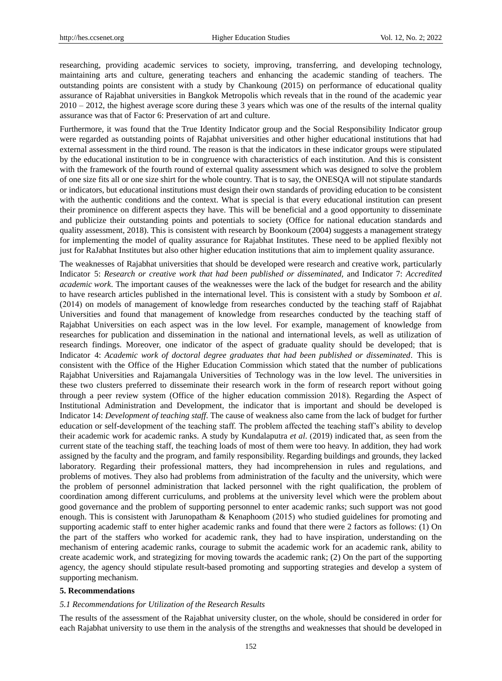researching, providing academic services to society, improving, transferring, and developing technology, maintaining arts and culture, generating teachers and enhancing the academic standing of teachers. The outstanding points are consistent with a study by Chankoung (2015) on performance of educational quality assurance of Rajabhat universities in Bangkok Metropolis which reveals that in the round of the academic year  $2010 - 2012$ , the highest average score during these 3 years which was one of the results of the internal quality assurance was that of Factor 6: Preservation of art and culture.

Furthermore, it was found that the True Identity Indicator group and the Social Responsibility Indicator group were regarded as outstanding points of Rajabhat universities and other higher educational institutions that had external assessment in the third round. The reason is that the indicators in these indicator groups were stipulated by the educational institution to be in congruence with characteristics of each institution. And this is consistent with the framework of the fourth round of external quality assessment which was designed to solve the problem of one size fits all or one size shirt for the whole country. That is to say, the ONESQA will not stipulate standards or indicators, but educational institutions must design their own standards of providing education to be consistent with the authentic conditions and the context. What is special is that every educational institution can present their prominence on different aspects they have. This will be beneficial and a good opportunity to disseminate and publicize their outstanding points and potentials to society (Office for national education standards and quality assessment, 2018). This is consistent with research by Boonkoum (2004) suggests a management strategy for implementing the model of quality assurance for Rajabhat Institutes. These need to be applied flexibly not just for RaJabhat Institutes but also other higher education institutions that aim to implement quality assurance.

The weaknesses of Rajabhat universities that should be developed were research and creative work, particularly Indicator 5: *Research or creative work that had been published or disseminated,* and Indicator 7: *Accredited academic work*. The important causes of the weaknesses were the lack of the budget for research and the ability to have research articles published in the international level. This is consistent with a study by Somboon *et al*. (2014) on models of management of knowledge from researches conducted by the teaching staff of Rajabhat Universities and found that management of knowledge from researches conducted by the teaching staff of Rajabhat Universities on each aspect was in the low level. For example, management of knowledge from researches for publication and dissemination in the national and international levels, as well as utilization of research findings. Moreover, one indicator of the aspect of graduate quality should be developed; that is Indicator 4: *Academic work of doctoral degree graduates that had been published or disseminated*. This is consistent with the Office of the Higher Education Commission which stated that the number of publications Rajabhat Universities and Rajamangala Universities of Technology was in the low level. The universities in these two clusters preferred to disseminate their research work in the form of research report without going through a peer review system (Office of the higher education commission 2018). Regarding the Aspect of Institutional Administration and Development, the indicator that is important and should be developed is Indicator 14: *Development of teaching staff*. The cause of weakness also came from the lack of budget for further education or self-development of the teaching staff. The problem affected the teaching staff's ability to develop their academic work for academic ranks. A study by Kundalaputra *et al*. (2019) indicated that, as seen from the current state of the teaching staff, the teaching loads of most of them were too heavy. In addition, they had work assigned by the faculty and the program, and family responsibility. Regarding buildings and grounds, they lacked laboratory. Regarding their professional matters, they had incomprehension in rules and regulations, and problems of motives. They also had problems from administration of the faculty and the university, which were the problem of personnel administration that lacked personnel with the right qualification, the problem of coordination among different curriculums, and problems at the university level which were the problem about good governance and the problem of supporting personnel to enter academic ranks; such support was not good enough. This is consistent with Jarunopatham & Kenaphoom (2015) who studied guidelines for promoting and supporting academic staff to enter higher academic ranks and found that there were 2 factors as follows: (1) On the part of the staffers who worked for academic rank, they had to have inspiration, understanding on the mechanism of entering academic ranks, courage to submit the academic work for an academic rank, ability to create academic work, and strategizing for moving towards the academic rank; (2) On the part of the supporting agency, the agency should stipulate result-based promoting and supporting strategies and develop a system of supporting mechanism.

## **5. Recommendations**

## *5.1 Recommendations for Utilization of the Research Results*

The results of the assessment of the Rajabhat university cluster, on the whole, should be considered in order for each Rajabhat university to use them in the analysis of the strengths and weaknesses that should be developed in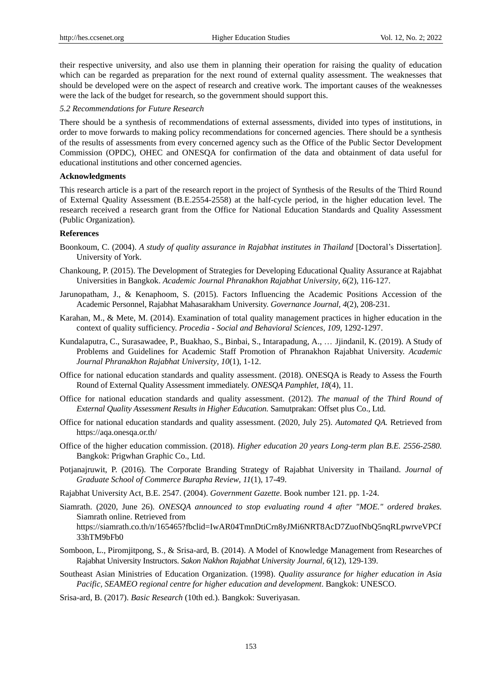their respective university, and also use them in planning their operation for raising the quality of education which can be regarded as preparation for the next round of external quality assessment. The weaknesses that should be developed were on the aspect of research and creative work. The important causes of the weaknesses were the lack of the budget for research, so the government should support this.

## *5.2 Recommendations for Future Research*

There should be a synthesis of recommendations of external assessments, divided into types of institutions, in order to move forwards to making policy recommendations for concerned agencies. There should be a synthesis of the results of assessments from every concerned agency such as the Office of the Public Sector Development Commission (OPDC), OHEC and ONESQA for confirmation of the data and obtainment of data useful for educational institutions and other concerned agencies.

## **Acknowledgments**

This research article is a part of the research report in the project of Synthesis of the Results of the Third Round of External Quality Assessment (B.E.2554-2558) at the half-cycle period, in the higher education level. The research received a research grant from the Office for National Education Standards and Quality Assessment (Public Organization).

## **References**

- Boonkoum, C. (2004). *A study of quality assurance in Rajabhat institutes in Thailand* [Doctoral's Dissertation]. University of York.
- Chankoung, P. (2015). The Development of Strategies for Developing Educational Quality Assurance at Rajabhat Universities in Bangkok. *Academic Journal Phranakhon Rajabhat University, 6*(2), 116-127.
- Jarunopatham, J., & Kenaphoom, S. (2015). Factors Influencing the Academic Positions Accession of the Academic Personnel, Rajabhat Mahasarakham University. *Governance Journal, 4*(2), 208-231.
- Karahan, M., & Mete, M. (2014). Examination of total quality management practices in higher education in the context of quality sufficiency. *Procedia - Social and Behavioral Sciences, 109*, 1292-1297.
- Kundalaputra, C., Surasawadee, P., Buakhao, S., Binbai, S., Intarapadung, A., … Jjindanil, K. (2019). A Study of Problems and Guidelines for Academic Staff Promotion of Phranakhon Rajabhat University. *Academic Journal Phranakhon Rajabhat University, 10*(1), 1-12.
- Office for national education standards and quality assessment. (2018). ONESQA is Ready to Assess the Fourth Round of External Quality Assessment immediately. *ONESQA Pamphlet, 18*(4), 11.
- Office for national education standards and quality assessment. (2012). *The manual of the Third Round of External Quality Assessment Results in Higher Education.* Samutprakan: Offset plus Co., Ltd.
- Office for national education standards and quality assessment. (2020, July 25). *Automated QA.* Retrieved from <https://aqa.onesqa.or.th/>
- Office of the higher education commission. (2018). *Higher education 20 years Long-term plan B.E. 2556-2580.*  Bangkok: Prigwhan Graphic Co., Ltd.
- Potjanajruwit, P. (2016). The Corporate Branding Strategy of Rajabhat University in Thailand. *Journal of Graduate School of Commerce Burapha Review, 11*(1), 17-49.
- Rajabhat University Act, B.E. 2547. (2004). *Government Gazette*. Book number 121. pp. 1-24.
- Siamrath. (2020, June 26). *ONESQA announced to stop evaluating round 4 after "MOE." ordered brakes.* Siamrath online. Retrieved from https://siamrath.co.th/n/165465?fbclid=IwAR04TmnDtiCrn8yJMi6NRT8AcD7ZuofNbQ5nqRLpwrveVPCf 33hTM9bFb0
- Somboon, L., Piromjitpong, S., & Srisa-ard, B. (2014). A Model of Knowledge Management from Researches of Rajabhat University Instructors. *Sakon Nakhon Rajabhat University Journal, 6*(12), 129-139.
- Southeast Asian Ministries of Education Organization. (1998). *Quality assurance for higher education in Asia Pacific, SEAMEO regional centre for higher education and development*. Bangkok: UNESCO.
- Srisa-ard, B. (2017). *Basic Research* (10th ed.). Bangkok: Suveriyasan.